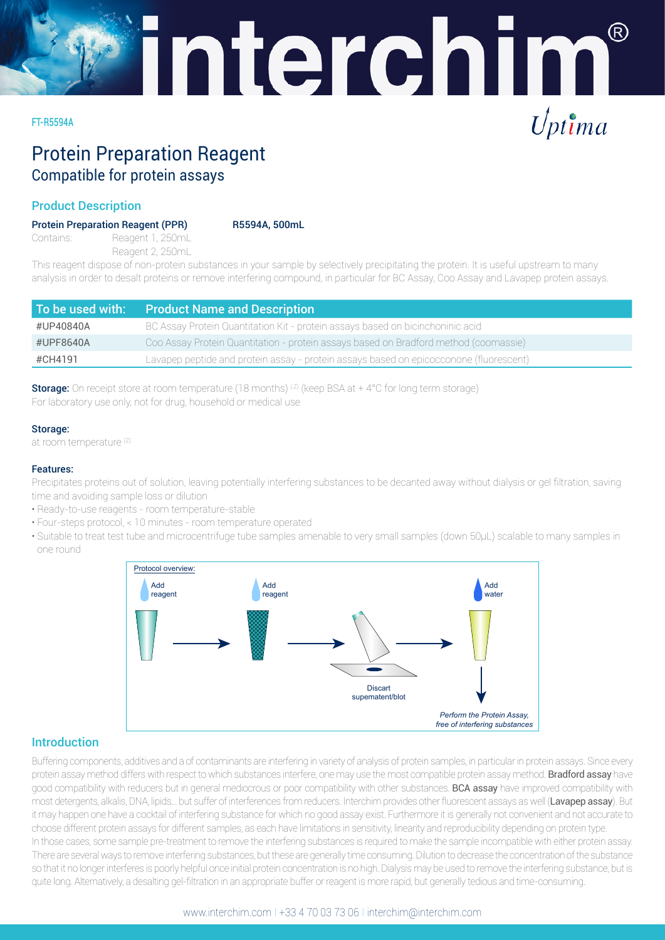

## FT-R5594A

# Protein Preparation Reagent Compatible for protein assays

# Product Description

## Protein Preparation Reagent (PPR) R5594A, 500mL

Contains: Reagent 1, 250mL

Reagent 2, 250mL

This reagent dispose of non-protein substances in your sample by selectively precipitating the protein. It is useful upstream to many analysis in order to desalt proteins or remove interfering compound, in particular for BC Assay, Coo Assay and Lavapep protein assays.

| To be used with: | <b>Product Name and Description</b>                                                    |
|------------------|----------------------------------------------------------------------------------------|
| #UP40840A        | BC Assay Protein Quantitation Kit - protein assays based on bicinchoninic acid         |
| #UPF8640A        | Coo Assay Protein Quantitation - protein assays based on Bradford method (coomassie)   |
| #CH4191          | Lavapep peptide and protein assay - protein assays based on epicocconone (fluorescent) |
|                  |                                                                                        |

**Storage:** On receipt store at room temperature (18 months) <sup>(2)</sup> (keep BSA at  $+4^{\circ}$ C for long term storage) For laboratory use only, not for drug, household or medical use

## Storage:

at room temperature (z)

## Features:

Precipitates proteins out of solution, leaving potentially interfering substances to be decanted away without dialysis or gel filtration, saving time and avoiding sample loss or dilution

- Ready-to-use reagents room temperature-stable
- Four-steps protocol, < 10 minutes room temperature operated
- Suitable to treat test tube and microcentrifuge tube samples amenable to very small samples (down 50μL) scalable to many samples in one round



# Introduction

Buffering components, additives and a of contaminants are interfering in variety of analysis of protein samples, in particular in protein assays. Since every protein assay method differs with respect to which substances interfere, one may use the most compatible protein assay method. Bradford assay have good compatibility with reducers but in general mediocrous or poor compatibility with other substances. **BCA assay** have improved compatibility with most detergents, alkalis, DNA, lipids... but suffer of interferences from reducers. Interchim provides other fluorescent assays as well (Lavapep assay). But it may happen one have a cocktail of interfering substance for which no good assay exist. Furthermore it is generally not convenient and not accurate to choose different protein assays for different samples, as each have limitations in sensitivity, linearity and reproducibility depending on protein type. In those cases, some sample pre-treatment to remove the interfering substances is required to make the sample incompatible with either protein assay. There are several ways to remove interfering substances, but these are generally time consuming. Dilution to decrease the concentration of the substance so that it no longer interferes is poorly helpful once initial protein concentration is no high. Dialysis may be used to remove the interfering substance, but is quite long. Alternatively, a desalting gel-filtration in an appropriate buffer or reagent is more rapid, but generally tedious and time-consuming.